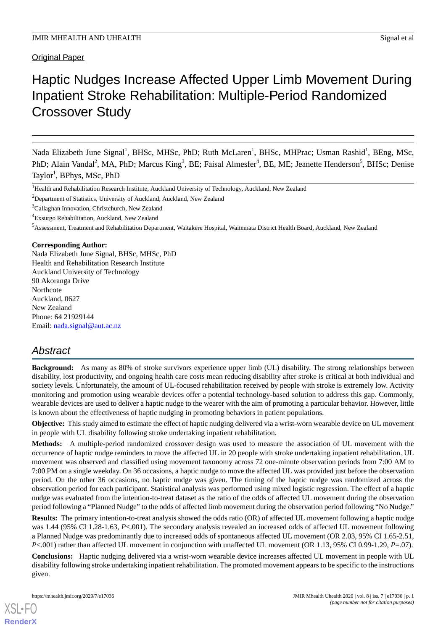**Original Paper** 

# Haptic Nudges Increase Affected Upper Limb Movement During Inpatient Stroke Rehabilitation: Multiple-Period Randomized Crossover Study

Nada Elizabeth June Signal<sup>1</sup>, BHSc, MHSc, PhD; Ruth McLaren<sup>1</sup>, BHSc, MHPrac; Usman Rashid<sup>1</sup>, BEng, MSc, PhD; Alain Vandal<sup>2</sup>, MA, PhD; Marcus King<sup>3</sup>, BE; Faisal Almesfer<sup>4</sup>, BE, ME; Jeanette Henderson<sup>5</sup>, BHSc; Denise Taylor<sup>1</sup>, BPhys, MSc, PhD

<sup>2</sup>Department of Statistics, University of Auckland, Auckland, New Zealand

<sup>3</sup>Callaghan Innovation, Christchurch, New Zealand

<sup>4</sup>Exsurgo Rehabilitation, Auckland, New Zealand

<sup>5</sup>Assessment, Treatment and Rehabilitation Department, Waitakere Hospital, Waitemata District Health Board, Auckland, New Zealand

## **Corresponding Author:**

Nada Elizabeth June Signal, BHSc, MHSc, PhD Health and Rehabilitation Research Institute Auckland University of Technology 90 Akoranga Drive Northcote Auckland, 0627 New Zealand Phone: 64 21929144 Email: [nada.signal@aut.ac.nz](mailto:nada.signal@aut.ac.nz)

# *Abstract*

**Background:** As many as 80% of stroke survivors experience upper limb (UL) disability. The strong relationships between disability, lost productivity, and ongoing health care costs mean reducing disability after stroke is critical at both individual and society levels. Unfortunately, the amount of UL-focused rehabilitation received by people with stroke is extremely low. Activity monitoring and promotion using wearable devices offer a potential technology-based solution to address this gap. Commonly, wearable devices are used to deliver a haptic nudge to the wearer with the aim of promoting a particular behavior. However, little is known about the effectiveness of haptic nudging in promoting behaviors in patient populations.

**Objective:** This study aimed to estimate the effect of haptic nudging delivered via a wrist-worn wearable device on UL movement in people with UL disability following stroke undertaking inpatient rehabilitation.

**Methods:** A multiple-period randomized crossover design was used to measure the association of UL movement with the occurrence of haptic nudge reminders to move the affected UL in 20 people with stroke undertaking inpatient rehabilitation. UL movement was observed and classified using movement taxonomy across 72 one-minute observation periods from 7:00 AM to 7:00 PM on a single weekday. On 36 occasions, a haptic nudge to move the affected UL was provided just before the observation period. On the other 36 occasions, no haptic nudge was given. The timing of the haptic nudge was randomized across the observation period for each participant. Statistical analysis was performed using mixed logistic regression. The effect of a haptic nudge was evaluated from the intention-to-treat dataset as the ratio of the odds of affected UL movement during the observation period following a "Planned Nudge" to the odds of affected limb movement during the observation period following "No Nudge."

**Results:** The primary intention-to-treat analysis showed the odds ratio (OR) of affected UL movement following a haptic nudge was 1.44 (95% CI 1.28-1.63, *P*<.001). The secondary analysis revealed an increased odds of affected UL movement following a Planned Nudge was predominantly due to increased odds of spontaneous affected UL movement (OR 2.03, 95% CI 1.65-2.51, *P*<.001) rather than affected UL movement in conjunction with unaffected UL movement (OR 1.13, 95% CI 0.99-1.29, *P*=.07).

**Conclusions:** Haptic nudging delivered via a wrist-worn wearable device increases affected UL movement in people with UL disability following stroke undertaking inpatient rehabilitation. The promoted movement appears to be specific to the instructions given.

<sup>&</sup>lt;sup>1</sup>Health and Rehabilitation Research Institute, Auckland University of Technology, Auckland, New Zealand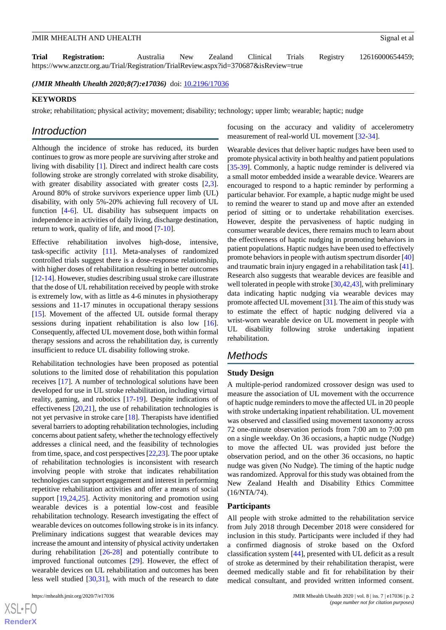**Trial Registration:** Australia New Zealand Clinical Trials Registry 12616000654459; https://www.anzctr.org.au/Trial/Registration/TrialReview.aspx?id=370687&isReview=true

*(JMIR Mhealth Uhealth 2020;8(7):e17036)* doi: [10.2196/17036](http://dx.doi.org/10.2196/17036)

#### **KEYWORDS**

stroke; rehabilitation; physical activity; movement; disability; technology; upper limb; wearable; haptic; nudge

# *Introduction*

Although the incidence of stroke has reduced, its burden continues to grow as more people are surviving after stroke and living with disability [\[1\]](#page-7-0). Direct and indirect health care costs following stroke are strongly correlated with stroke disability, with greater disability associated with greater costs [\[2](#page-7-1),[3\]](#page-7-2). Around 80% of stroke survivors experience upper limb (UL) disability, with only 5%-20% achieving full recovery of UL function [\[4](#page-7-3)-[6\]](#page-7-4). UL disability has subsequent impacts on independence in activities of daily living, discharge destination, return to work, quality of life, and mood [[7-](#page-7-5)[10\]](#page-7-6).

Effective rehabilitation involves high-dose, intensive, task-specific activity [[11\]](#page-8-0). Meta-analyses of randomized controlled trials suggest there is a dose-response relationship, with higher doses of rehabilitation resulting in better outcomes [[12-](#page-8-1)[14\]](#page-8-2). However, studies describing usual stroke care illustrate that the dose of UL rehabilitation received by people with stroke is extremely low, with as little as 4-6 minutes in physiotherapy sessions and 11-17 minutes in occupational therapy sessions [[15\]](#page-8-3). Movement of the affected UL outside formal therapy sessions during inpatient rehabilitation is also low [[16\]](#page-8-4). Consequently, affected UL movement dose, both within formal therapy sessions and across the rehabilitation day, is currently insufficient to reduce UL disability following stroke.

Rehabilitation technologies have been proposed as potential solutions to the limited dose of rehabilitation this population receives [\[17](#page-8-5)]. A number of technological solutions have been developed for use in UL stroke rehabilitation, including virtual reality, gaming, and robotics [[17](#page-8-5)[-19](#page-8-6)]. Despite indications of effectiveness [\[20](#page-8-7),[21\]](#page-8-8), the use of rehabilitation technologies is not yet pervasive in stroke care [[18\]](#page-8-9). Therapists have identified several barriers to adopting rehabilitation technologies, including concerns about patient safety, whether the technology effectively addresses a clinical need, and the feasibility of technologies from time, space, and cost perspectives [[22](#page-8-10),[23\]](#page-8-11). The poor uptake of rehabilitation technologies is inconsistent with research involving people with stroke that indicates rehabilitation technologies can support engagement and interest in performing repetitive rehabilitation activities and offer a means of social support [\[19](#page-8-6),[24,](#page-8-12)[25](#page-8-13)]. Activity monitoring and promotion using wearable devices is a potential low-cost and feasible rehabilitation technology. Research investigating the effect of wearable devices on outcomes following stroke is in its infancy. Preliminary indications suggest that wearable devices may increase the amount and intensity of physical activity undertaken during rehabilitation [[26-](#page-8-14)[28](#page-8-15)] and potentially contribute to improved functional outcomes [\[29](#page-8-16)]. However, the effect of wearable devices on UL rehabilitation and outcomes has been less well studied [\[30](#page-8-17),[31\]](#page-8-18), with much of the research to date

focusing on the accuracy and validity of accelerometry measurement of real-world UL movement [[32](#page-9-0)[-34](#page-9-1)].

Wearable devices that deliver haptic nudges have been used to promote physical activity in both healthy and patient populations [[35](#page-9-2)[-39](#page-9-3)]. Commonly, a haptic nudge reminder is delivered via a small motor embedded inside a wearable device. Wearers are encouraged to respond to a haptic reminder by performing a particular behavior. For example, a haptic nudge might be used to remind the wearer to stand up and move after an extended period of sitting or to undertake rehabilitation exercises. However, despite the pervasiveness of haptic nudging in consumer wearable devices, there remains much to learn about the effectiveness of haptic nudging in promoting behaviors in patient populations. Haptic nudges have been used to effectively promote behaviors in people with autism spectrum disorder [[40](#page-9-4)] and traumatic brain injury engaged in a rehabilitation task [[41\]](#page-9-5). Research also suggests that wearable devices are feasible and well tolerated in people with stroke [\[30](#page-8-17),[42](#page-9-6),[43\]](#page-9-7), with preliminary data indicating haptic nudging via wearable devices may promote affected UL movement [\[31](#page-8-18)]. The aim of this study was to estimate the effect of haptic nudging delivered via a wrist-worn wearable device on UL movement in people with UL disability following stroke undertaking inpatient rehabilitation.

# *Methods*

#### **Study Design**

A multiple-period randomized crossover design was used to measure the association of UL movement with the occurrence of haptic nudge reminders to move the affected UL in 20 people with stroke undertaking inpatient rehabilitation. UL movement was observed and classified using movement taxonomy across 72 one-minute observation periods from 7:00 am to 7:00 pm on a single weekday. On 36 occasions, a haptic nudge (Nudge) to move the affected UL was provided just before the observation period, and on the other 36 occasions, no haptic nudge was given (No Nudge). The timing of the haptic nudge was randomized. Approval for this study was obtained from the New Zealand Health and Disability Ethics Committee (16/NTA/74).

#### **Participants**

All people with stroke admitted to the rehabilitation service from July 2018 through December 2018 were considered for inclusion in this study. Participants were included if they had a confirmed diagnosis of stroke based on the Oxford classification system [[44\]](#page-9-8), presented with UL deficit as a result of stroke as determined by their rehabilitation therapist, were deemed medically stable and fit for rehabilitation by their medical consultant, and provided written informed consent.

```
XSI - F(RenderX
```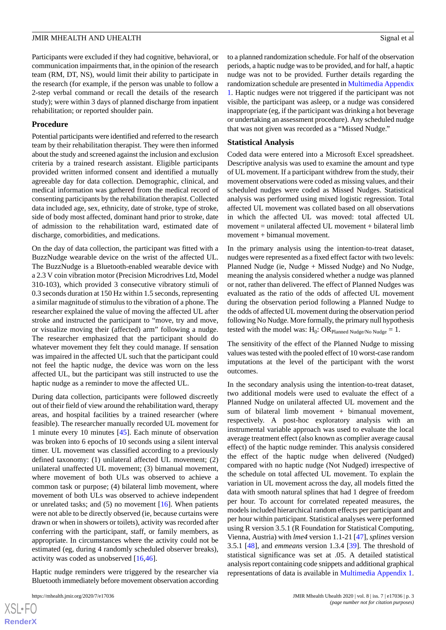Participants were excluded if they had cognitive, behavioral, or communication impairments that, in the opinion of the research team (RM, DT, NS), would limit their ability to participate in the research (for example, if the person was unable to follow a 2-step verbal command or recall the details of the research study); were within 3 days of planned discharge from inpatient rehabilitation; or reported shoulder pain.

#### **Procedure**

Potential participants were identified and referred to the research team by their rehabilitation therapist. They were then informed about the study and screened against the inclusion and exclusion criteria by a trained research assistant. Eligible participants provided written informed consent and identified a mutually agreeable day for data collection. Demographic, clinical, and medical information was gathered from the medical record of consenting participants by the rehabilitation therapist. Collected data included age, sex, ethnicity, date of stroke, type of stroke, side of body most affected, dominant hand prior to stroke, date of admission to the rehabilitation ward, estimated date of discharge, comorbidities, and medications.

On the day of data collection, the participant was fitted with a BuzzNudge wearable device on the wrist of the affected UL. The BuzzNudge is a Bluetooth-enabled wearable device with a 2.3 V coin vibration motor (Precision Microdrives Ltd, Model 310-103), which provided 3 consecutive vibratory stimuli of 0.3 seconds duration at 150 Hz within 1.5 seconds, representing a similar magnitude of stimulus to the vibration of a phone. The researcher explained the value of moving the affected UL after stroke and instructed the participant to "move, try and move, or visualize moving their (affected) arm" following a nudge. The researcher emphasized that the participant should do whatever movement they felt they could manage. If sensation was impaired in the affected UL such that the participant could not feel the haptic nudge, the device was worn on the less affected UL, but the participant was still instructed to use the haptic nudge as a reminder to move the affected UL.

During data collection, participants were followed discreetly out of their field of view around the rehabilitation ward, therapy areas, and hospital facilities by a trained researcher (where feasible). The researcher manually recorded UL movement for 1 minute every 10 minutes [\[45](#page-9-9)]. Each minute of observation was broken into 6 epochs of 10 seconds using a silent interval timer. UL movement was classified according to a previously defined taxonomy: (1) unilateral affected UL movement; (2) unilateral unaffected UL movement; (3) bimanual movement, where movement of both ULs was observed to achieve a common task or purpose; (4) bilateral limb movement, where movement of both ULs was observed to achieve independent or unrelated tasks; and (5) no movement [\[16](#page-8-4)]. When patients were not able to be directly observed (ie, because curtains were drawn or when in showers or toilets), activity was recorded after conferring with the participant, staff, or family members, as appropriate. In circumstances where the activity could not be estimated (eg, during 4 randomly scheduled observer breaks), activity was coded as unobserved [[16,](#page-8-4)[46](#page-9-10)].

Haptic nudge reminders were triggered by the researcher via Bluetooth immediately before movement observation according

[XSL](http://www.w3.org/Style/XSL)•FO **[RenderX](http://www.renderx.com/)** to a planned randomization schedule. For half of the observation periods, a haptic nudge was to be provided, and for half, a haptic nudge was not to be provided. Further details regarding the randomization schedule are presented in [Multimedia Appendix](#page-7-7) [1.](#page-7-7) Haptic nudges were not triggered if the participant was not visible, the participant was asleep, or a nudge was considered inappropriate (eg, if the participant was drinking a hot beverage or undertaking an assessment procedure). Any scheduled nudge that was not given was recorded as a "Missed Nudge."

#### **Statistical Analysis**

Coded data were entered into a Microsoft Excel spreadsheet. Descriptive analysis was used to examine the amount and type of UL movement. If a participant withdrew from the study, their movement observations were coded as missing values, and their scheduled nudges were coded as Missed Nudges. Statistical analysis was performed using mixed logistic regression. Total affected UL movement was collated based on all observations in which the affected UL was moved: total affected UL  $m$ ovement = unilateral affected UL movement + bilateral limb movement + bimanual movement.

In the primary analysis using the intention-to-treat dataset, nudges were represented as a fixed effect factor with two levels: Planned Nudge (ie, Nudge + Missed Nudge) and No Nudge, meaning the analysis considered whether a nudge was planned or not, rather than delivered. The effect of Planned Nudges was evaluated as the ratio of the odds of affected UL movement during the observation period following a Planned Nudge to the odds of affected UL movement during the observation period following No Nudge. More formally, the primary null hypothesis tested with the model was:  $H_0$ : OR  $_{Planned\ Nudge/No\ Nudge} = 1$ .

The sensitivity of the effect of the Planned Nudge to missing values was tested with the pooled effect of 10 worst-case random imputations at the level of the participant with the worst outcomes.

In the secondary analysis using the intention-to-treat dataset, two additional models were used to evaluate the effect of a Planned Nudge on unilateral affected UL movement and the sum of bilateral limb movement + bimanual movement, respectively. A post-hoc exploratory analysis with an instrumental variable approach was used to evaluate the local average treatment effect (also known as complier average causal effect) of the haptic nudge reminder. This analysis considered the effect of the haptic nudge when delivered (Nudged) compared with no haptic nudge (Not Nudged) irrespective of the schedule on total affected UL movement. To explain the variation in UL movement across the day, all models fitted the data with smooth natural splines that had 1 degree of freedom per hour. To account for correlated repeated measures, the models included hierarchical random effects per participant and per hour within participant. Statistical analyses were performed using R version 3.5.1 (R Foundation for Statistical Computing, Vienna, Austria) with *lme4* version 1.1-21 [[47\]](#page-9-11), *splines* version 3.5.1 [\[48](#page-9-12)], and *emmeans* version 1.3.4 [\[39](#page-9-3)]. The threshold of statistical significance was set at .05. A detailed statistical analysis report containing code snippets and additional graphical representations of data is available in [Multimedia Appendix 1](#page-7-7).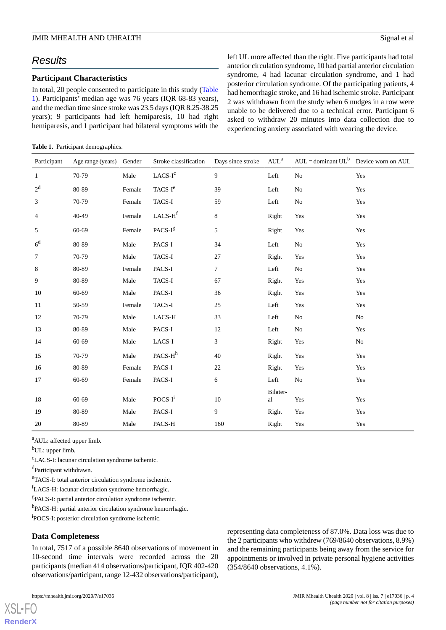# *Results*

# **Participant Characteristics**

In total, 20 people consented to participate in this study ([Table](#page-3-0) [1\)](#page-3-0). Participants' median age was 76 years (IQR 68-83 years), and the median time since stroke was 23.5 days (IQR 8.25-38.25 years); 9 participants had left hemiparesis, 10 had right hemiparesis, and 1 participant had bilateral symptoms with the

#### <span id="page-3-0"></span>**Table 1.** Participant demographics.

left UL more affected than the right. Five participants had total anterior circulation syndrome, 10 had partial anterior circulation syndrome, 4 had lacunar circulation syndrome, and 1 had posterior circulation syndrome. Of the participating patients, 4 had hemorrhagic stroke, and 16 had ischemic stroke. Participant 2 was withdrawn from the study when 6 nudges in a row were unable to be delivered due to a technical error. Participant 6 asked to withdraw 20 minutes into data collection due to experiencing anxiety associated with wearing the device.

| Participant    | Age range (years) Gender |        | Stroke classification                 | Days since stroke | AUL <sup>a</sup> | $AUL =$ dominant $UL^b$ Device worn on AUL |                |
|----------------|--------------------------|--------|---------------------------------------|-------------------|------------------|--------------------------------------------|----------------|
| $\mathbf{1}$   | 70-79                    | Male   | $\ensuremath{\text{LACS-I}^c}\xspace$ | 9                 | Left             | No                                         | Yes            |
| 2 <sup>d</sup> | 80-89                    | Female | $TACS-Ie$                             | 39                | Left             | No                                         | Yes            |
| $\mathfrak{Z}$ | 70-79                    | Female | TACS-I                                | 59                | Left             | No                                         | Yes            |
| $\overline{4}$ | 40-49                    | Female | $LACS-Hf$                             | $8\,$             | Right            | Yes                                        | Yes            |
| 5              | 60-69                    | Female | PACS-I <sup>g</sup>                   | 5                 | Right            | Yes                                        | Yes            |
| 6 <sup>d</sup> | 80-89                    | Male   | PACS-I                                | 34                | Left             | No                                         | Yes            |
| $\tau$         | 70-79                    | Male   | TACS-I                                | 27                | Right            | Yes                                        | Yes            |
| $\,8\,$        | 80-89                    | Female | PACS-I                                | $\tau$            | Left             | No                                         | Yes            |
| 9              | 80-89                    | Male   | TACS-I                                | 67                | Right            | Yes                                        | Yes            |
| 10             | 60-69                    | Male   | PACS-I                                | 36                | Right            | Yes                                        | Yes            |
| 11             | 50-59                    | Female | TACS-I                                | 25                | Left             | Yes                                        | Yes            |
| 12             | 70-79                    | Male   | LACS-H                                | 33                | Left             | N <sub>o</sub>                             | No             |
| 13             | 80-89                    | Male   | PACS-I                                | 12                | Left             | No                                         | Yes            |
| 14             | 60-69                    | Male   | $_{\rm LACS-I}$                       | 3                 | Right            | Yes                                        | N <sub>o</sub> |
| 15             | 70-79                    | Male   | PACS-H <sup>h</sup>                   | 40                | Right            | Yes                                        | Yes            |
| 16             | 80-89                    | Female | PACS-I                                | $22\,$            | Right            | Yes                                        | Yes            |
| 17             | 60-69                    | Female | PACS-I                                | 6                 | Left             | N <sub>o</sub>                             | Yes            |
|                |                          |        |                                       |                   | Bilater-         |                                            |                |
| 18             | 60-69                    | Male   | POCS-I <sup>i</sup>                   | 10                | al               | Yes                                        | Yes            |
| 19             | 80-89                    | Male   | PACS-I                                | 9                 | Right            | Yes                                        | Yes            |
| 20             | 80-89                    | Male   | PACS-H                                | 160               | Right            | Yes                                        | Yes            |

<sup>a</sup>AUL: affected upper limb.

 $b$ UL: upper limb.

<sup>c</sup>LACS-I: lacunar circulation syndrome ischemic.

<sup>d</sup>Participant withdrawn.

<sup>e</sup>TACS-I: total anterior circulation syndrome ischemic.

<sup>f</sup>LACS-H: lacunar circulation syndrome hemorrhagic.

<sup>g</sup>PACS-I: partial anterior circulation syndrome ischemic.

<sup>h</sup>PACS-H: partial anterior circulation syndrome hemorrhagic.

<sup>i</sup>POCS-I: posterior circulation syndrome ischemic.

#### **Data Completeness**

In total, 7517 of a possible 8640 observations of movement in 10-second time intervals were recorded across the 20 participants (median 414 observations/participant, IQR 402-420 observations/participant, range 12-432 observations/participant),

representing data completeness of 87.0%. Data loss was due to the 2 participants who withdrew (769/8640 observations, 8.9%) and the remaining participants being away from the service for appointments or involved in private personal hygiene activities (354/8640 observations, 4.1%).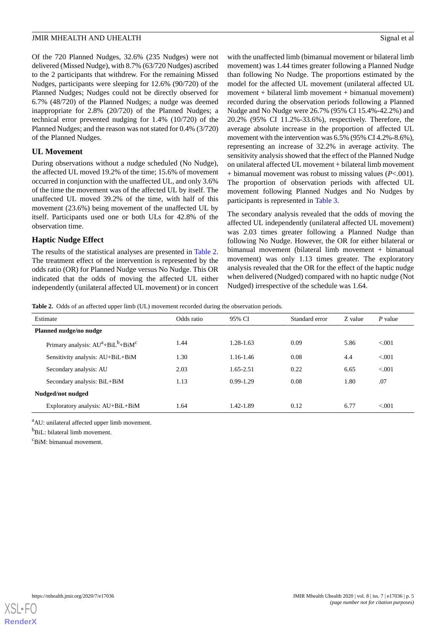Of the 720 Planned Nudges, 32.6% (235 Nudges) were not delivered (Missed Nudge), with 8.7% (63/720 Nudges) ascribed to the 2 participants that withdrew. For the remaining Missed Nudges, participants were sleeping for 12.6% (90/720) of the Planned Nudges; Nudges could not be directly observed for 6.7% (48/720) of the Planned Nudges; a nudge was deemed inappropriate for 2.8% (20/720) of the Planned Nudges; a technical error prevented nudging for 1.4% (10/720) of the Planned Nudges; and the reason was not stated for 0.4% (3/720) of the Planned Nudges.

# **UL Movement**

During observations without a nudge scheduled (No Nudge), the affected UL moved 19.2% of the time; 15.6% of movement occurred in conjunction with the unaffected UL, and only 3.6% of the time the movement was of the affected UL by itself. The unaffected UL moved 39.2% of the time, with half of this movement (23.6%) being movement of the unaffected UL by itself. Participants used one or both ULs for 42.8% of the observation time.

# **Haptic Nudge Effect**

<span id="page-4-0"></span>The results of the statistical analyses are presented in [Table 2](#page-4-0). The treatment effect of the intervention is represented by the odds ratio (OR) for Planned Nudge versus No Nudge. This OR indicated that the odds of moving the affected UL either independently (unilateral affected UL movement) or in concert with the unaffected limb (bimanual movement or bilateral limb movement) was 1.44 times greater following a Planned Nudge than following No Nudge. The proportions estimated by the model for the affected UL movement (unilateral affected UL  $m$ ovement + bilateral limb movement + bimanual movement) recorded during the observation periods following a Planned Nudge and No Nudge were 26.7% (95% CI 15.4%-42.2%) and 20.2% (95% CI 11.2%-33.6%), respectively. Therefore, the average absolute increase in the proportion of affected UL movement with the intervention was 6.5% (95% CI 4.2%-8.6%), representing an increase of 32.2% in average activity. The sensitivity analysis showed that the effect of the Planned Nudge on unilateral affected UL movement + bilateral limb movement + bimanual movement was robust to missing values (*P*<.001). The proportion of observation periods with affected UL movement following Planned Nudges and No Nudges by participants is represented in [Table 3](#page-5-0).

The secondary analysis revealed that the odds of moving the affected UL independently (unilateral affected UL movement) was 2.03 times greater following a Planned Nudge than following No Nudge. However, the OR for either bilateral or bimanual movement (bilateral limb movement + bimanual movement) was only 1.13 times greater. The exploratory analysis revealed that the OR for the effect of the haptic nudge when delivered (Nudged) compared with no haptic nudge (Not Nudged) irrespective of the schedule was 1.64.

Table 2. Odds of an affected upper limb (UL) movement recorded during the observation periods.

| Estimate                                 | Odds ratio | 95% CI        | Standard error | Z value | P value |  |
|------------------------------------------|------------|---------------|----------------|---------|---------|--|
| Planned nudge/no nudge                   |            |               |                |         |         |  |
| Primary analysis: $AU^a + BiL^b + BiM^c$ | 1.44       | $1.28 - 1.63$ | 0.09           | 5.86    | < 0.001 |  |
| Sensitivity analysis: AU+BiL+BiM         | 1.30       | 1.16-1.46     | 0.08           | 4.4     | < 0.001 |  |
| Secondary analysis: AU                   | 2.03       | 1.65-2.51     | 0.22           | 6.65    | < 0.01  |  |
| Secondary analysis: BiL+BiM              | 1.13       | $0.99 - 1.29$ | 0.08           | 1.80    | .07     |  |
| Nudged/not nudged                        |            |               |                |         |         |  |
| Exploratory analysis: AU+BiL+BiM         | 1.64       | 1.42-1.89     | 0.12           | 6.77    | < 0.01  |  |

<sup>a</sup>AU: unilateral affected upper limb movement.

 $<sup>b</sup>$ BiL: bilateral limb movement.</sup>

 $c_{\text{RiM}}$ . bimanual movement.

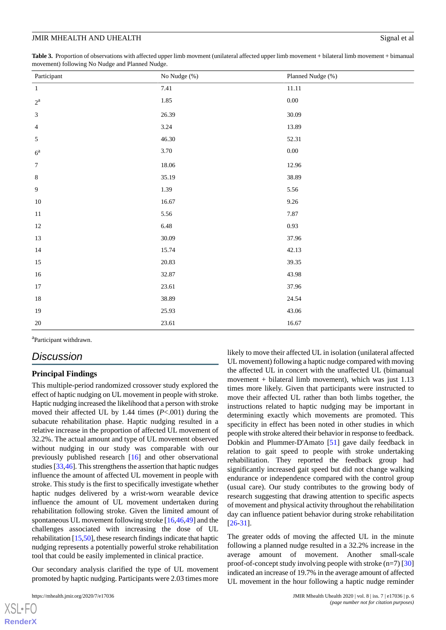<span id="page-5-0"></span>**Table 3.** Proportion of observations with affected upper limb movment (unilateral affected upper limb movement + bilateral limb movement + bimanual movement) following No Nudge and Planned Nudge.

| Participant      | No Nudge (%) | Planned Nudge (%) |
|------------------|--------------|-------------------|
| $\,1\,$          | 7.41         | $11.11\,$         |
| $2^{\rm a}$      | $1.85\,$     | $0.00\,$          |
| $\mathfrak{Z}$   | 26.39        | 30.09             |
| $\overline{4}$   | 3.24         | 13.89             |
| 5                | 46.30        | 52.31             |
| $6^{\rm a}$      | 3.70         | $0.00\,$          |
| $\boldsymbol{7}$ | 18.06        | 12.96             |
| $\,8\,$          | 35.19        | 38.89             |
| $\boldsymbol{9}$ | 1.39         | 5.56              |
| $10\,$           | 16.67        | $9.26\,$          |
| $11\,$           | 5.56         | 7.87              |
| $12\,$           | 6.48         | 0.93              |
| 13               | 30.09        | 37.96             |
| $14\,$           | 15.74        | 42.13             |
| $15\,$           | 20.83        | 39.35             |
| $16\,$           | 32.87        | 43.98             |
| 17               | 23.61        | 37.96             |
| $18\,$           | 38.89        | 24.54             |
| 19               | 25.93        | 43.06             |
| $20\,$           | 23.61        | 16.67             |

<sup>a</sup>Participant withdrawn.

# *Discussion*

#### **Principal Findings**

This multiple-period randomized crossover study explored the effect of haptic nudging on UL movement in people with stroke. Haptic nudging increased the likelihood that a person with stroke moved their affected UL by 1.44 times (*P*<.001) during the subacute rehabilitation phase. Haptic nudging resulted in a relative increase in the proportion of affected UL movement of 32.2%. The actual amount and type of UL movement observed without nudging in our study was comparable with our previously published research [[16\]](#page-8-4) and other observational studies [[33,](#page-9-13)[46](#page-9-10)]. This strengthens the assertion that haptic nudges influence the amount of affected UL movement in people with stroke. This study is the first to specifically investigate whether haptic nudges delivered by a wrist-worn wearable device influence the amount of UL movement undertaken during rehabilitation following stroke. Given the limited amount of spontaneous UL movement following stroke [[16](#page-8-4)[,46](#page-9-10),[49\]](#page-9-14) and the challenges associated with increasing the dose of UL rehabilitation [\[15](#page-8-3),[50](#page-9-15)], these research findings indicate that haptic nudging represents a potentially powerful stroke rehabilitation tool that could be easily implemented in clinical practice.

Our secondary analysis clarified the type of UL movement promoted by haptic nudging. Participants were 2.03 times more

 $XS$  • FC **[RenderX](http://www.renderx.com/)** likely to move their affected UL in isolation (unilateral affected UL movement) following a haptic nudge compared with moving the affected UL in concert with the unaffected UL (bimanual movement + bilateral limb movement), which was just  $1.13$ times more likely. Given that participants were instructed to move their affected UL rather than both limbs together, the instructions related to haptic nudging may be important in determining exactly which movements are promoted. This specificity in effect has been noted in other studies in which people with stroke altered their behavior in response to feedback. Dobkin and Plummer-D'Amato [\[51](#page-9-16)] gave daily feedback in relation to gait speed to people with stroke undertaking rehabilitation. They reported the feedback group had significantly increased gait speed but did not change walking endurance or independence compared with the control group (usual care). Our study contributes to the growing body of research suggesting that drawing attention to specific aspects of movement and physical activity throughout the rehabilitation day can influence patient behavior during stroke rehabilitation [[26](#page-8-14)[-31](#page-8-18)].

The greater odds of moving the affected UL in the minute following a planned nudge resulted in a 32.2% increase in the average amount of movement. Another small-scale proof-of-concept study involving people with stroke  $(n=7)$  [\[30](#page-8-17)] indicated an increase of 19.7% in the average amount of affected UL movement in the hour following a haptic nudge reminder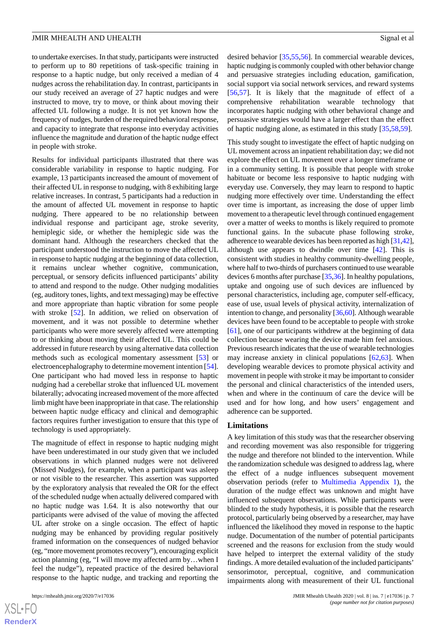to undertake exercises. In that study, participants were instructed to perform up to 80 repetitions of task-specific training in response to a haptic nudge, but only received a median of 4 nudges across the rehabilitation day. In contrast, participants in our study received an average of 27 haptic nudges and were instructed to move, try to move, or think about moving their affected UL following a nudge. It is not yet known how the frequency of nudges, burden of the required behavioral response, and capacity to integrate that response into everyday activities influence the magnitude and duration of the haptic nudge effect in people with stroke.

Results for individual participants illustrated that there was considerable variability in response to haptic nudging. For example, 13 participants increased the amount of movement of their affected UL in response to nudging, with 8 exhibiting large relative increases. In contrast, 5 participants had a reduction in the amount of affected UL movement in response to haptic nudging. There appeared to be no relationship between individual response and participant age, stroke severity, hemiplegic side, or whether the hemiplegic side was the dominant hand. Although the researchers checked that the participant understood the instruction to move the affected UL in response to haptic nudging at the beginning of data collection, it remains unclear whether cognitive, communication, perceptual, or sensory deficits influenced participants' ability to attend and respond to the nudge. Other nudging modalities (eg, auditory tones, lights, and text messaging) may be effective and more appropriate than haptic vibration for some people with stroke [[52\]](#page-9-17). In addition, we relied on observation of movement, and it was not possible to determine whether participants who were more severely affected were attempting to or thinking about moving their affected UL. This could be addressed in future research by using alternative data collection methods such as ecological momentary assessment [\[53](#page-9-18)] or electroencephalography to determine movement intention [[54\]](#page-10-0). One participant who had moved less in response to haptic nudging had a cerebellar stroke that influenced UL movement bilaterally; advocating increased movement of the more affected limb might have been inappropriate in that case. The relationship between haptic nudge efficacy and clinical and demographic factors requires further investigation to ensure that this type of technology is used appropriately.

The magnitude of effect in response to haptic nudging might have been underestimated in our study given that we included observations in which planned nudges were not delivered (Missed Nudges), for example, when a participant was asleep or not visible to the researcher. This assertion was supported by the exploratory analysis that revealed the OR for the effect of the scheduled nudge when actually delivered compared with no haptic nudge was 1.64. It is also noteworthy that our participants were advised of the value of moving the affected UL after stroke on a single occasion. The effect of haptic nudging may be enhanced by providing regular positively framed information on the consequences of nudged behavior (eg, "more movement promotes recovery"), encouraging explicit action planning (eg, "I will move my affected arm by…when I feel the nudge"), repeated practice of the desired behavioral response to the haptic nudge, and tracking and reporting the

desired behavior [\[35](#page-9-2),[55](#page-10-1)[,56](#page-10-2)]. In commercial wearable devices, haptic nudging is commonly coupled with other behavior change and persuasive strategies including education, gamification, social support via social network services, and reward systems [[56,](#page-10-2)[57\]](#page-10-3). It is likely that the magnitude of effect of a comprehensive rehabilitation wearable technology that incorporates haptic nudging with other behavioral change and persuasive strategies would have a larger effect than the effect of haptic nudging alone, as estimated in this study [[35,](#page-9-2)[58](#page-10-4),[59\]](#page-10-5).

This study sought to investigate the effect of haptic nudging on UL movement across an inpatient rehabilitation day; we did not explore the effect on UL movement over a longer timeframe or in a community setting. It is possible that people with stroke habituate or become less responsive to haptic nudging with everyday use. Conversely, they may learn to respond to haptic nudging more effectively over time. Understanding the effect over time is important, as increasing the dose of upper limb movement to a therapeutic level through continued engagement over a matter of weeks to months is likely required to promote functional gains. In the subacute phase following stroke, adherence to wearable devices has been reported as high [\[31](#page-8-18)[,42](#page-9-6)], although use appears to dwindle over time [\[42](#page-9-6)]. This is consistent with studies in healthy community-dwelling people, where half to two-thirds of purchasers continued to use wearable devices 6 months after purchase [\[35](#page-9-2),[36](#page-9-19)]. In healthy populations, uptake and ongoing use of such devices are influenced by personal characteristics, including age, computer self-efficacy, ease of use, usual levels of physical activity, internalization of intention to change, and personality [[36](#page-9-19)[,60](#page-10-6)]. Although wearable devices have been found to be acceptable to people with stroke [[61\]](#page-10-7), one of our participants withdrew at the beginning of data collection because wearing the device made him feel anxious. Previous research indicates that the use of wearable technologies may increase anxiety in clinical populations [\[62](#page-10-8),[63\]](#page-10-9). When developing wearable devices to promote physical activity and movement in people with stroke it may be important to consider the personal and clinical characteristics of the intended users, when and where in the continuum of care the device will be used and for how long, and how users' engagement and adherence can be supported.

#### **Limitations**

A key limitation of this study was that the researcher observing and recording movement was also responsible for triggering the nudge and therefore not blinded to the intervention. While the randomization schedule was designed to address lag, where the effect of a nudge influences subsequent movement observation periods (refer to [Multimedia Appendix 1\)](#page-7-7), the duration of the nudge effect was unknown and might have influenced subsequent observations. While participants were blinded to the study hypothesis, it is possible that the research protocol, particularly being observed by a researcher, may have influenced the likelihood they moved in response to the haptic nudge. Documentation of the number of potential participants screened and the reasons for exclusion from the study would have helped to interpret the external validity of the study findings. A more detailed evaluation of the included participants' sensorimotor, perceptual, cognitive, and communication impairments along with measurement of their UL functional

 $XSJ \cdot F$ **[RenderX](http://www.renderx.com/)**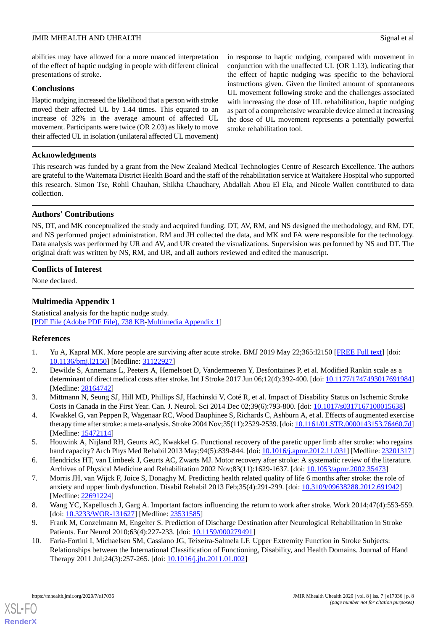abilities may have allowed for a more nuanced interpretation of the effect of haptic nudging in people with different clinical presentations of stroke.

#### **Conclusions**

Haptic nudging increased the likelihood that a person with stroke moved their affected UL by 1.44 times. This equated to an increase of 32% in the average amount of affected UL movement. Participants were twice (OR 2.03) as likely to move their affected UL in isolation (unilateral affected UL movement)

in response to haptic nudging, compared with movement in conjunction with the unaffected UL (OR 1.13), indicating that the effect of haptic nudging was specific to the behavioral instructions given. Given the limited amount of spontaneous UL movement following stroke and the challenges associated with increasing the dose of UL rehabilitation, haptic nudging as part of a comprehensive wearable device aimed at increasing the dose of UL movement represents a potentially powerful stroke rehabilitation tool.

## **Acknowledgments**

This research was funded by a grant from the New Zealand Medical Technologies Centre of Research Excellence. The authors are grateful to the Waitemata District Health Board and the staff of the rehabilitation service at Waitakere Hospital who supported this research. Simon Tse, Rohil Chauhan, Shikha Chaudhary, Abdallah Abou El Ela, and Nicole Wallen contributed to data collection.

# **Authors' Contributions**

NS, DT, and MK conceptualized the study and acquired funding. DT, AV, RM, and NS designed the methodology, and RM, DT, and NS performed project administration. RM and JH collected the data, and MK and FA were responsible for the technology. Data analysis was performed by UR and AV, and UR created the visualizations. Supervision was performed by NS and DT. The original draft was written by NS, RM, and UR, and all authors reviewed and edited the manuscript.

# <span id="page-7-7"></span>**Conflicts of Interest**

None declared.

# **Multimedia Appendix 1**

<span id="page-7-0"></span>Statistical analysis for the haptic nudge study. [[PDF File \(Adobe PDF File\), 738 KB](https://jmir.org/api/download?alt_name=mhealth_v8i7e17036_app1.pdf&filename=4f3cca2c485a6cbb52b7109fa9f1f85e.pdf)-[Multimedia Appendix 1\]](https://jmir.org/api/download?alt_name=mhealth_v8i7e17036_app1.pdf&filename=4f3cca2c485a6cbb52b7109fa9f1f85e.pdf)

#### <span id="page-7-1"></span>**References**

- <span id="page-7-2"></span>1. Yu A, Kapral MK. More people are surviving after acute stroke. BMJ 2019 May 22;365:l2150 [\[FREE Full text\]](http://www.bmj.com/cgi/pmidlookup?view=long&pmid=31122927) [doi: [10.1136/bmj.l2150\]](http://dx.doi.org/10.1136/bmj.l2150) [Medline: [31122927](http://www.ncbi.nlm.nih.gov/entrez/query.fcgi?cmd=Retrieve&db=PubMed&list_uids=31122927&dopt=Abstract)]
- <span id="page-7-3"></span>2. Dewilde S, Annemans L, Peeters A, Hemelsoet D, Vandermeeren Y, Desfontaines P, et al. Modified Rankin scale as a determinant of direct medical costs after stroke. Int J Stroke 2017 Jun 06;12(4):392-400. [doi: [10.1177/1747493017691984\]](http://dx.doi.org/10.1177/1747493017691984) [Medline: [28164742](http://www.ncbi.nlm.nih.gov/entrez/query.fcgi?cmd=Retrieve&db=PubMed&list_uids=28164742&dopt=Abstract)]
- 3. Mittmann N, Seung SJ, Hill MD, Phillips SJ, Hachinski V, Coté R, et al. Impact of Disability Status on Ischemic Stroke Costs in Canada in the First Year. Can. J. Neurol. Sci 2014 Dec 02;39(6):793-800. [doi: [10.1017/s0317167100015638](http://dx.doi.org/10.1017/s0317167100015638)]
- <span id="page-7-4"></span>4. Kwakkel G, van Peppen R, Wagenaar RC, Wood Dauphinee S, Richards C, Ashburn A, et al. Effects of augmented exercise therapy time after stroke: a meta-analysis. Stroke 2004 Nov;35(11):2529-2539. [doi: [10.1161/01.STR.0000143153.76460.7d](http://dx.doi.org/10.1161/01.STR.0000143153.76460.7d)] [Medline: [15472114](http://www.ncbi.nlm.nih.gov/entrez/query.fcgi?cmd=Retrieve&db=PubMed&list_uids=15472114&dopt=Abstract)]
- <span id="page-7-5"></span>5. Houwink A, Nijland RH, Geurts AC, Kwakkel G. Functional recovery of the paretic upper limb after stroke: who regains hand capacity? Arch Phys Med Rehabil 2013 May;94(5):839-844. [doi: [10.1016/j.apmr.2012.11.031\]](http://dx.doi.org/10.1016/j.apmr.2012.11.031) [Medline: [23201317](http://www.ncbi.nlm.nih.gov/entrez/query.fcgi?cmd=Retrieve&db=PubMed&list_uids=23201317&dopt=Abstract)]
- 6. Hendricks HT, van Limbeek J, Geurts AC, Zwarts MJ. Motor recovery after stroke: A systematic review of the literature. Archives of Physical Medicine and Rehabilitation 2002 Nov;83(11):1629-1637. [doi: [10.1053/apmr.2002.35473](http://dx.doi.org/10.1053/apmr.2002.35473)]
- <span id="page-7-6"></span>7. Morris JH, van Wijck F, Joice S, Donaghy M. Predicting health related quality of life 6 months after stroke: the role of anxiety and upper limb dysfunction. Disabil Rehabil 2013 Feb;35(4):291-299. [doi: [10.3109/09638288.2012.691942\]](http://dx.doi.org/10.3109/09638288.2012.691942) [Medline: [22691224](http://www.ncbi.nlm.nih.gov/entrez/query.fcgi?cmd=Retrieve&db=PubMed&list_uids=22691224&dopt=Abstract)]
- 8. Wang YC, Kapellusch J, Garg A. Important factors influencing the return to work after stroke. Work 2014;47(4):553-559. [doi: [10.3233/WOR-131627\]](http://dx.doi.org/10.3233/WOR-131627) [Medline: [23531585\]](http://www.ncbi.nlm.nih.gov/entrez/query.fcgi?cmd=Retrieve&db=PubMed&list_uids=23531585&dopt=Abstract)
- 9. Frank M, Conzelmann M, Engelter S. Prediction of Discharge Destination after Neurological Rehabilitation in Stroke Patients. Eur Neurol 2010;63(4):227-233. [doi: [10.1159/000279491\]](http://dx.doi.org/10.1159/000279491)
- 10. Faria-Fortini I, Michaelsen SM, Cassiano JG, Teixeira-Salmela LF. Upper Extremity Function in Stroke Subjects: Relationships between the International Classification of Functioning, Disability, and Health Domains. Journal of Hand Therapy 2011 Jul;24(3):257-265. [doi: [10.1016/j.jht.2011.01.002\]](http://dx.doi.org/10.1016/j.jht.2011.01.002)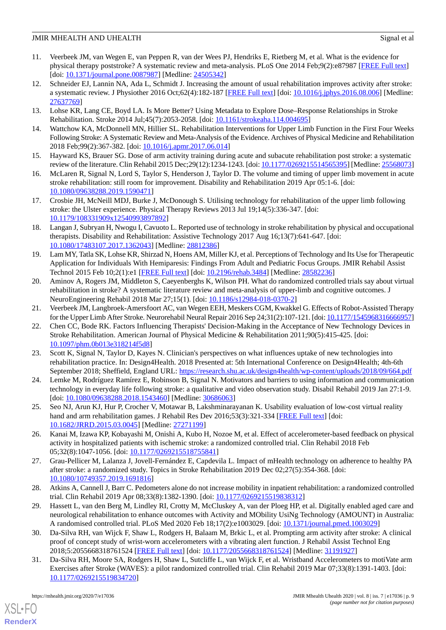- <span id="page-8-0"></span>11. Veerbeek JM, van Wegen E, van Peppen R, van der Wees PJ, Hendriks E, Rietberg M, et al. What is the evidence for physical therapy poststroke? A systematic review and meta-analysis. PLoS One 2014 Feb;9(2):e87987 [\[FREE Full text](http://dx.plos.org/10.1371/journal.pone.0087987)] [doi: [10.1371/journal.pone.0087987\]](http://dx.doi.org/10.1371/journal.pone.0087987) [Medline: [24505342\]](http://www.ncbi.nlm.nih.gov/entrez/query.fcgi?cmd=Retrieve&db=PubMed&list_uids=24505342&dopt=Abstract)
- <span id="page-8-1"></span>12. Schneider EJ, Lannin NA, Ada L, Schmidt J. Increasing the amount of usual rehabilitation improves activity after stroke: a systematic review. J Physiother 2016 Oct;62(4):182-187 [\[FREE Full text\]](https://linkinghub.elsevier.com/retrieve/pii/S1836-9553(16)30056-X) [doi: [10.1016/j.jphys.2016.08.006](http://dx.doi.org/10.1016/j.jphys.2016.08.006)] [Medline: [27637769](http://www.ncbi.nlm.nih.gov/entrez/query.fcgi?cmd=Retrieve&db=PubMed&list_uids=27637769&dopt=Abstract)]
- <span id="page-8-2"></span>13. Lohse KR, Lang CE, Boyd LA. Is More Better? Using Metadata to Explore Dose–Response Relationships in Stroke Rehabilitation. Stroke 2014 Jul;45(7):2053-2058. [doi: [10.1161/strokeaha.114.004695](http://dx.doi.org/10.1161/strokeaha.114.004695)]
- <span id="page-8-3"></span>14. Wattchow KA, McDonnell MN, Hillier SL. Rehabilitation Interventions for Upper Limb Function in the First Four Weeks Following Stroke: A Systematic Review and Meta-Analysis of the Evidence. Archives of Physical Medicine and Rehabilitation 2018 Feb;99(2):367-382. [doi: [10.1016/j.apmr.2017.06.014](http://dx.doi.org/10.1016/j.apmr.2017.06.014)]
- <span id="page-8-4"></span>15. Hayward KS, Brauer SG. Dose of arm activity training during acute and subacute rehabilitation post stroke: a systematic review of the literature. Clin Rehabil 2015 Dec;29(12):1234-1243. [doi: [10.1177/0269215514565395\]](http://dx.doi.org/10.1177/0269215514565395) [Medline: [25568073\]](http://www.ncbi.nlm.nih.gov/entrez/query.fcgi?cmd=Retrieve&db=PubMed&list_uids=25568073&dopt=Abstract)
- <span id="page-8-5"></span>16. McLaren R, Signal N, Lord S, Taylor S, Henderson J, Taylor D. The volume and timing of upper limb movement in acute stroke rehabilitation: still room for improvement. Disability and Rehabilitation 2019 Apr 05:1-6. [doi: [10.1080/09638288.2019.1590471\]](http://dx.doi.org/10.1080/09638288.2019.1590471)
- <span id="page-8-9"></span>17. Crosbie JH, McNeill MDJ, Burke J, McDonough S. Utilising technology for rehabilitation of the upper limb following stroke: the Ulster experience. Physical Therapy Reviews 2013 Jul 19;14(5):336-347. [doi: [10.1179/108331909x12540993897892\]](http://dx.doi.org/10.1179/108331909x12540993897892)
- <span id="page-8-6"></span>18. Langan J, Subryan H, Nwogu I, Cavuoto L. Reported use of technology in stroke rehabilitation by physical and occupational therapists. Disability and Rehabilitation: Assistive Technology 2017 Aug 16;13(7):641-647. [doi: [10.1080/17483107.2017.1362043\]](http://dx.doi.org/10.1080/17483107.2017.1362043) [Medline: [28812386\]](http://www.ncbi.nlm.nih.gov/entrez/query.fcgi?cmd=Retrieve&db=PubMed&list_uids=28812386&dopt=Abstract)
- <span id="page-8-7"></span>19. Lam MY, Tatla SK, Lohse KR, Shirzad N, Hoens AM, Miller KJ, et al. Perceptions of Technology and Its Use for Therapeutic Application for Individuals With Hemiparesis: Findings From Adult and Pediatric Focus Groups. JMIR Rehabil Assist Technol 2015 Feb 10;2(1):e1 [[FREE Full text](https://rehab.jmir.org/2015/1/e1/)] [doi: [10.2196/rehab.3484\]](http://dx.doi.org/10.2196/rehab.3484) [Medline: [28582236\]](http://www.ncbi.nlm.nih.gov/entrez/query.fcgi?cmd=Retrieve&db=PubMed&list_uids=28582236&dopt=Abstract)
- <span id="page-8-10"></span><span id="page-8-8"></span>20. Aminov A, Rogers JM, Middleton S, Caeyenberghs K, Wilson PH. What do randomized controlled trials say about virtual rehabilitation in stroke? A systematic literature review and meta-analysis of upper-limb and cognitive outcomes. J NeuroEngineering Rehabil 2018 Mar 27;15(1). [doi: [10.1186/s12984-018-0370-2](http://dx.doi.org/10.1186/s12984-018-0370-2)]
- 21. Veerbeek JM, Langbroek-Amersfoort AC, van Wegen EEH, Meskers CGM, Kwakkel G. Effects of Robot-Assisted Therapy for the Upper Limb After Stroke. Neurorehabil Neural Repair 2016 Sep 24;31(2):107-121. [doi: [10.1177/1545968316666957\]](http://dx.doi.org/10.1177/1545968316666957)
- <span id="page-8-11"></span>22. Chen CC, Bode RK. Factors Influencing Therapists' Decision-Making in the Acceptance of New Technology Devices in Stroke Rehabilitation. American Journal of Physical Medicine & Rehabilitation 2011;90(5):415-425. [doi: [10.1097/phm.0b013e318214f5d8\]](http://dx.doi.org/10.1097/phm.0b013e318214f5d8)
- <span id="page-8-13"></span><span id="page-8-12"></span>23. Scott K, Signal N, Taylor D, Kayes N. Clinician's perspectives on what influences uptake of new technologies into rehabilitation practice. In: Design4Health. 2018 Presented at: 5th International Conference on Design4Health; 4th-6th September 2018; Sheffield, England URL:<https://research.shu.ac.uk/design4health/wp-content/uploads/2018/09/664.pdf>
- <span id="page-8-14"></span>24. Lemke M, Rodríguez Ramírez E, Robinson B, Signal N. Motivators and barriers to using information and communication technology in everyday life following stroke: a qualitative and video observation study. Disabil Rehabil 2019 Jan 27:1-9. [doi: [10.1080/09638288.2018.1543460](http://dx.doi.org/10.1080/09638288.2018.1543460)] [Medline: [30686063\]](http://www.ncbi.nlm.nih.gov/entrez/query.fcgi?cmd=Retrieve&db=PubMed&list_uids=30686063&dopt=Abstract)
- 25. Seo NJ, Arun KJ, Hur P, Crocher V, Motawar B, Lakshminarayanan K. Usability evaluation of low-cost virtual reality hand and arm rehabilitation games. J Rehabil Res Dev 2016;53(3):321-334 [[FREE Full text\]](http://www.rehab.research.va.gov/jour/2016/533/pdf/JRRD-2015-03-0045.pdf) [doi: [10.1682/JRRD.2015.03.0045\]](http://dx.doi.org/10.1682/JRRD.2015.03.0045) [Medline: [27271199\]](http://www.ncbi.nlm.nih.gov/entrez/query.fcgi?cmd=Retrieve&db=PubMed&list_uids=27271199&dopt=Abstract)
- <span id="page-8-15"></span>26. Kanai M, Izawa KP, Kobayashi M, Onishi A, Kubo H, Nozoe M, et al. Effect of accelerometer-based feedback on physical activity in hospitalized patients with ischemic stroke: a randomized controlled trial. Clin Rehabil 2018 Feb 05;32(8):1047-1056. [doi: [10.1177/0269215518755841\]](http://dx.doi.org/10.1177/0269215518755841)
- <span id="page-8-16"></span>27. Grau-Pellicer M, Lalanza J, Jovell-Fernández E, Capdevila L. Impact of mHealth technology on adherence to healthy PA after stroke: a randomized study. Topics in Stroke Rehabilitation 2019 Dec 02;27(5):354-368. [doi: [10.1080/10749357.2019.1691816\]](http://dx.doi.org/10.1080/10749357.2019.1691816)
- <span id="page-8-17"></span>28. Atkins A, Cannell J, Barr C. Pedometers alone do not increase mobility in inpatient rehabilitation: a randomized controlled trial. Clin Rehabil 2019 Apr 08;33(8):1382-1390. [doi: [10.1177/0269215519838312\]](http://dx.doi.org/10.1177/0269215519838312)
- <span id="page-8-18"></span>29. Hassett L, van den Berg M, Lindley RI, Crotty M, McCluskey A, van der Ploeg HP, et al. Digitally enabled aged care and neurological rehabilitation to enhance outcomes with Activity and MObility UsiNg Technology (AMOUNT) in Australia: A randomised controlled trial. PLoS Med 2020 Feb 18;17(2):e1003029. [doi: [10.1371/journal.pmed.1003029](http://dx.doi.org/10.1371/journal.pmed.1003029)]
- 30. Da-Silva RH, van Wijck F, Shaw L, Rodgers H, Balaam M, Brkic L, et al. Prompting arm activity after stroke: A clinical proof of concept study of wrist-worn accelerometers with a vibrating alert function. J Rehabil Assist Technol Eng 2018;5:2055668318761524 [[FREE Full text](http://europepmc.org/abstract/MED/31191927)] [doi: [10.1177/2055668318761524\]](http://dx.doi.org/10.1177/2055668318761524) [Medline: [31191927\]](http://www.ncbi.nlm.nih.gov/entrez/query.fcgi?cmd=Retrieve&db=PubMed&list_uids=31191927&dopt=Abstract)
- 31. Da-Silva RH, Moore SA, Rodgers H, Shaw L, Sutcliffe L, van Wijck F, et al. Wristband Accelerometers to motiVate arm Exercises after Stroke (WAVES): a pilot randomized controlled trial. Clin Rehabil 2019 Mar 07;33(8):1391-1403. [doi: [10.1177/0269215519834720\]](http://dx.doi.org/10.1177/0269215519834720)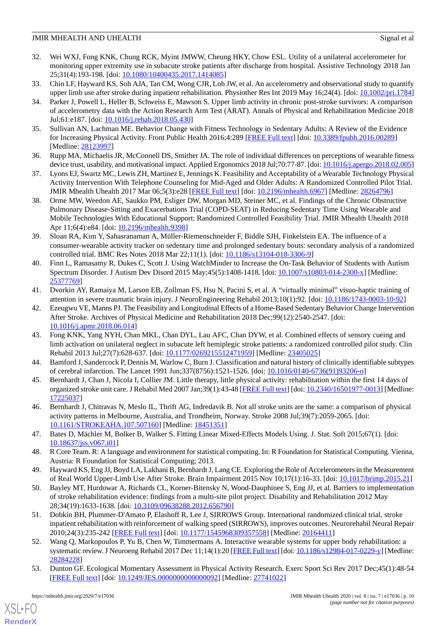- <span id="page-9-0"></span>32. Wei WXJ, Fong KNK, Chung RCK, Myint JMWW, Cheung HKY, Chow ESL. Utility of a unilateral accelerometer for monitoring upper extremity use in subacute stroke patients after discharge from hospital. Assistive Technology 2018 Jan 25;31(4):193-198. [doi: [10.1080/10400435.2017.1414085\]](http://dx.doi.org/10.1080/10400435.2017.1414085)
- <span id="page-9-13"></span><span id="page-9-1"></span>33. Chin LF, Hayward KS, Soh AJA, Tan CM, Wong CJR, Loh JW, et al. An accelerometry and observational study to quantify upper limb use after stroke during inpatient rehabilitation. Physiother Res Int 2019 May 16;24(4). [doi: [10.1002/pri.1784](http://dx.doi.org/10.1002/pri.1784)]
- 34. Parker J, Powell L, Heller B, Schweiss E, Mawson S. Upper limb activity in chronic post-stroke survivors: A comparison of accelerometry data with the Action Research Arm Test (ARAT). Annals of Physical and Rehabilitation Medicine 2018 Jul;61:e187. [doi: [10.1016/j.rehab.2018.05.430](http://dx.doi.org/10.1016/j.rehab.2018.05.430)]
- <span id="page-9-19"></span><span id="page-9-2"></span>35. Sullivan AN, Lachman ME. Behavior Change with Fitness Technology in Sedentary Adults: A Review of the Evidence for Increasing Physical Activity. Front Public Health 2016;4:289 [[FREE Full text](https://dx.doi.org/10.3389/fpubh.2016.00289)] [doi: [10.3389/fpubh.2016.00289](http://dx.doi.org/10.3389/fpubh.2016.00289)] [Medline: [28123997](http://www.ncbi.nlm.nih.gov/entrez/query.fcgi?cmd=Retrieve&db=PubMed&list_uids=28123997&dopt=Abstract)]
- 36. Rupp MA, Michaelis JR, McConnell DS, Smither JA. The role of individual differences on perceptions of wearable fitness device trust, usability, and motivational impact. Applied Ergonomics 2018 Jul;70:77-87. [doi: [10.1016/j.apergo.2018.02.005](http://dx.doi.org/10.1016/j.apergo.2018.02.005)]
- 37. Lyons EJ, Swartz MC, Lewis ZH, Martinez E, Jennings K. Feasibility and Acceptability of a Wearable Technology Physical Activity Intervention With Telephone Counseling for Mid-Aged and Older Adults: A Randomized Controlled Pilot Trial. JMIR Mhealth Uhealth 2017 Mar 06;5(3):e28 [[FREE Full text](http://mhealth.jmir.org/2017/3/e28/)] [doi: [10.2196/mhealth.6967\]](http://dx.doi.org/10.2196/mhealth.6967) [Medline: [28264796](http://www.ncbi.nlm.nih.gov/entrez/query.fcgi?cmd=Retrieve&db=PubMed&list_uids=28264796&dopt=Abstract)]
- <span id="page-9-3"></span>38. Orme MW, Weedon AE, Saukko PM, Esliger DW, Morgan MD, Steiner MC, et al. Findings of the Chronic Obstructive Pulmonary Disease-Sitting and Exacerbations Trial (COPD-SEAT) in Reducing Sedentary Time Using Wearable and Mobile Technologies With Educational Support: Randomized Controlled Feasibility Trial. JMIR Mhealth Uhealth 2018 Apr 11;6(4):e84. [doi: [10.2196/mhealth.9398\]](http://dx.doi.org/10.2196/mhealth.9398)
- <span id="page-9-4"></span>39. Sloan RA, Kim Y, Sahasranaman A, Müller-Riemenschneider F, Biddle SJH, Finkelstein EA. The influence of a consumer-wearable activity tracker on sedentary time and prolonged sedentary bouts: secondary analysis of a randomized controlled trial. BMC Res Notes 2018 Mar 22;11(1). [doi: [10.1186/s13104-018-3306-9](http://dx.doi.org/10.1186/s13104-018-3306-9)]
- <span id="page-9-5"></span>40. Finn L, Ramasamy R, Dukes C, Scott J. Using WatchMinder to Increase the On-Task Behavior of Students with Autism Spectrum Disorder. J Autism Dev Disord 2015 May;45(5):1408-1418. [doi: [10.1007/s10803-014-2300-x\]](http://dx.doi.org/10.1007/s10803-014-2300-x) [Medline: [25377769](http://www.ncbi.nlm.nih.gov/entrez/query.fcgi?cmd=Retrieve&db=PubMed&list_uids=25377769&dopt=Abstract)]
- <span id="page-9-6"></span>41. Dvorkin AY, Ramaiya M, Larson EB, Zollman FS, Hsu N, Pacini S, et al. A "virtually minimal" visuo-haptic training of attention in severe traumatic brain injury. J NeuroEngineering Rehabil 2013;10(1):92. [doi: [10.1186/1743-0003-10-92\]](http://dx.doi.org/10.1186/1743-0003-10-92)
- <span id="page-9-7"></span>42. Ezeugwu VE, Manns PJ. The Feasibility and Longitudinal Effects of a Home-Based Sedentary Behavior Change Intervention After Stroke. Archives of Physical Medicine and Rehabilitation 2018 Dec;99(12):2540-2547. [doi: [10.1016/j.apmr.2018.06.014\]](http://dx.doi.org/10.1016/j.apmr.2018.06.014)
- <span id="page-9-9"></span><span id="page-9-8"></span>43. Fong KNK, Yang NYH, Chan MKL, Chan DYL, Lau AFC, Chan DYW, et al. Combined effects of sensory cueing and limb activation on unilateral neglect in subacute left hemiplegic stroke patients: a randomized controlled pilot study. Clin Rehabil 2013 Jul;27(7):628-637. [doi: [10.1177/0269215512471959](http://dx.doi.org/10.1177/0269215512471959)] [Medline: [23405025](http://www.ncbi.nlm.nih.gov/entrez/query.fcgi?cmd=Retrieve&db=PubMed&list_uids=23405025&dopt=Abstract)]
- <span id="page-9-10"></span>44. Bamford J, Sandercock P, Dennis M, Warlow C, Burn J. Classification and natural history of clinically identifiable subtypes of cerebral infarction. The Lancet 1991 Jun;337(8756):1521-1526. [doi: [10.1016/0140-6736\(91\)93206-o\]](http://dx.doi.org/10.1016/0140-6736(91)93206-o)
- <span id="page-9-11"></span>45. Bernhardt J, Chan J, Nicola I, Collier JM. Little therapy, little physical activity: rehabilitation within the first 14 days of organized stroke unit care. J Rehabil Med 2007 Jan;39(1):43-48 [[FREE Full text](https://www.medicaljournals.se/jrm/content/abstract/10.2340/16501977-0013)] [doi: [10.2340/16501977-0013\]](http://dx.doi.org/10.2340/16501977-0013) [Medline: [17225037](http://www.ncbi.nlm.nih.gov/entrez/query.fcgi?cmd=Retrieve&db=PubMed&list_uids=17225037&dopt=Abstract)]
- <span id="page-9-12"></span>46. Bernhardt J, Chitravas N, Meslo IL, Thrift AG, Indredavik B. Not all stroke units are the same: a comparison of physical activity patterns in Melbourne, Australia, and Trondheim, Norway. Stroke 2008 Jul;39(7):2059-2065. [doi: [10.1161/STROKEAHA.107.507160\]](http://dx.doi.org/10.1161/STROKEAHA.107.507160) [Medline: [18451351\]](http://www.ncbi.nlm.nih.gov/entrez/query.fcgi?cmd=Retrieve&db=PubMed&list_uids=18451351&dopt=Abstract)
- <span id="page-9-15"></span><span id="page-9-14"></span>47. Bates D, Mächler M, Bolker B, Walker S. Fitting Linear Mixed-Effects Models Using. J. Stat. Soft 2015;67(1). [doi: [10.18637/jss.v067.i01](http://dx.doi.org/10.18637/jss.v067.i01)]
- 48. R Core Team. R: A language and environment for statistical computing. In: R Foundation for Statistical Computing. Vienna, Austria: R Foundation for Statistical Computing; 2013.
- <span id="page-9-16"></span>49. Hayward KS, Eng JJ, Boyd LA, Lakhani B, Bernhardt J, Lang CE. Exploring the Role of Accelerometers in the Measurement of Real World Upper-Limb Use After Stroke. Brain Impairment 2015 Nov 10;17(1):16-33. [doi: [10.1017/brimp.2015.21](http://dx.doi.org/10.1017/brimp.2015.21)]
- <span id="page-9-17"></span>50. Bayley MT, Hurdowar A, Richards CL, Korner-Bitensky N, Wood-Dauphinee S, Eng JJ, et al. Barriers to implementation of stroke rehabilitation evidence: findings from a multi-site pilot project. Disability and Rehabilitation 2012 May 28;34(19):1633-1638. [doi: [10.3109/09638288.2012.656790\]](http://dx.doi.org/10.3109/09638288.2012.656790)
- <span id="page-9-18"></span>51. Dobkin BH, Plummer-D'Amato P, Elashoff R, Lee J, SIRROWS Group. International randomized clinical trial, stroke inpatient rehabilitation with reinforcement of walking speed (SIRROWS), improves outcomes. Neurorehabil Neural Repair 2010;24(3):235-242 [[FREE Full text](http://europepmc.org/abstract/MED/20164411)] [doi: [10.1177/1545968309357558\]](http://dx.doi.org/10.1177/1545968309357558) [Medline: [20164411\]](http://www.ncbi.nlm.nih.gov/entrez/query.fcgi?cmd=Retrieve&db=PubMed&list_uids=20164411&dopt=Abstract)
- 52. Wang Q, Markopoulos P, Yu B, Chen W, Timmermans A. Interactive wearable systems for upper body rehabilitation: a systematic review. J Neuroeng Rehabil 2017 Dec 11;14(1):20 [\[FREE Full text\]](https://jneuroengrehab.biomedcentral.com/articles/10.1186/s12984-017-0229-y) [doi: [10.1186/s12984-017-0229-y\]](http://dx.doi.org/10.1186/s12984-017-0229-y) [Medline: [28284228](http://www.ncbi.nlm.nih.gov/entrez/query.fcgi?cmd=Retrieve&db=PubMed&list_uids=28284228&dopt=Abstract)]
- 53. Dunton GF. Ecological Momentary Assessment in Physical Activity Research. Exerc Sport Sci Rev 2017 Dec;45(1):48-54 [[FREE Full text](http://europepmc.org/abstract/MED/27741022)] [doi: [10.1249/JES.0000000000000092\]](http://dx.doi.org/10.1249/JES.0000000000000092) [Medline: [27741022\]](http://www.ncbi.nlm.nih.gov/entrez/query.fcgi?cmd=Retrieve&db=PubMed&list_uids=27741022&dopt=Abstract)

 $XS$  • FO **[RenderX](http://www.renderx.com/)**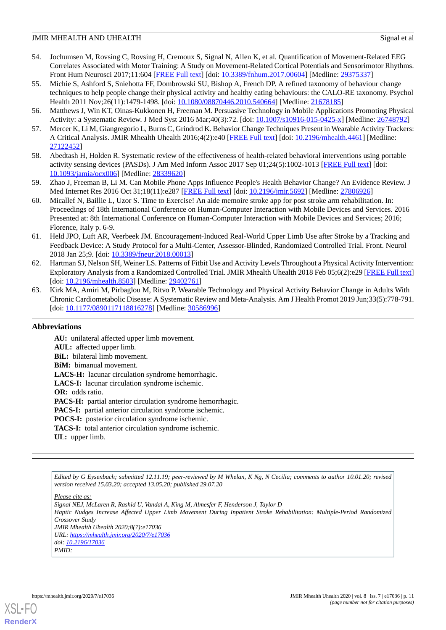- <span id="page-10-0"></span>54. Jochumsen M, Rovsing C, Rovsing H, Cremoux S, Signal N, Allen K, et al. Quantification of Movement-Related EEG Correlates Associated with Motor Training: A Study on Movement-Related Cortical Potentials and Sensorimotor Rhythms. Front Hum Neurosci 2017;11:604 [\[FREE Full text\]](https://doi.org/10.3389/fnhum.2017.00604) [doi: [10.3389/fnhum.2017.00604](http://dx.doi.org/10.3389/fnhum.2017.00604)] [Medline: [29375337\]](http://www.ncbi.nlm.nih.gov/entrez/query.fcgi?cmd=Retrieve&db=PubMed&list_uids=29375337&dopt=Abstract)
- <span id="page-10-1"></span>55. Michie S, Ashford S, Sniehotta FF, Dombrowski SU, Bishop A, French DP. A refined taxonomy of behaviour change techniques to help people change their physical activity and healthy eating behaviours: the CALO-RE taxonomy. Psychol Health 2011 Nov;26(11):1479-1498. [doi: [10.1080/08870446.2010.540664\]](http://dx.doi.org/10.1080/08870446.2010.540664) [Medline: [21678185](http://www.ncbi.nlm.nih.gov/entrez/query.fcgi?cmd=Retrieve&db=PubMed&list_uids=21678185&dopt=Abstract)]
- <span id="page-10-3"></span><span id="page-10-2"></span>56. Matthews J, Win KT, Oinas-Kukkonen H, Freeman M. Persuasive Technology in Mobile Applications Promoting Physical Activity: a Systematic Review. J Med Syst 2016 Mar;40(3):72. [doi: [10.1007/s10916-015-0425-x\]](http://dx.doi.org/10.1007/s10916-015-0425-x) [Medline: [26748792\]](http://www.ncbi.nlm.nih.gov/entrez/query.fcgi?cmd=Retrieve&db=PubMed&list_uids=26748792&dopt=Abstract)
- <span id="page-10-4"></span>57. Mercer K, Li M, Giangregorio L, Burns C, Grindrod K. Behavior Change Techniques Present in Wearable Activity Trackers: A Critical Analysis. JMIR Mhealth Uhealth 2016;4(2):e40 [\[FREE Full text\]](http://mhealth.jmir.org/2016/2/e40/) [doi: [10.2196/mhealth.4461](http://dx.doi.org/10.2196/mhealth.4461)] [Medline: [27122452](http://www.ncbi.nlm.nih.gov/entrez/query.fcgi?cmd=Retrieve&db=PubMed&list_uids=27122452&dopt=Abstract)]
- <span id="page-10-5"></span>58. Abedtash H, Holden R. Systematic review of the effectiveness of health-related behavioral interventions using portable activity sensing devices (PASDs). J Am Med Inform Assoc 2017 Sep 01;24(5):1002-1013 [\[FREE Full text](http://europepmc.org/abstract/MED/28339620)] [doi: [10.1093/jamia/ocx006](http://dx.doi.org/10.1093/jamia/ocx006)] [Medline: [28339620](http://www.ncbi.nlm.nih.gov/entrez/query.fcgi?cmd=Retrieve&db=PubMed&list_uids=28339620&dopt=Abstract)]
- <span id="page-10-6"></span>59. Zhao J, Freeman B, Li M. Can Mobile Phone Apps Influence People's Health Behavior Change? An Evidence Review. J Med Internet Res 2016 Oct 31;18(11):e287 [\[FREE Full text\]](http://www.jmir.org/2016/11/e287/) [doi: [10.2196/jmir.5692\]](http://dx.doi.org/10.2196/jmir.5692) [Medline: [27806926\]](http://www.ncbi.nlm.nih.gov/entrez/query.fcgi?cmd=Retrieve&db=PubMed&list_uids=27806926&dopt=Abstract)
- <span id="page-10-7"></span>60. Micallef N, Baillie L, Uzor S. Time to Exercise! An aide memoire stroke app for post stroke arm rehabilitation. In: Proceedings of 18th International Conference on Human-Computer Interaction with Mobile Devices and Services. 2016 Presented at: 8th International Conference on Human-Computer Interaction with Mobile Devices and Services; 2016; Florence, Italy p. 6-9.
- <span id="page-10-8"></span>61. Held JPO, Luft AR, Veerbeek JM. Encouragement-Induced Real-World Upper Limb Use after Stroke by a Tracking and Feedback Device: A Study Protocol for a Multi-Center, Assessor-Blinded, Randomized Controlled Trial. Front. Neurol 2018 Jan 25;9. [doi: [10.3389/fneur.2018.00013\]](http://dx.doi.org/10.3389/fneur.2018.00013)
- <span id="page-10-9"></span>62. Hartman SJ, Nelson SH, Weiner LS. Patterns of Fitbit Use and Activity Levels Throughout a Physical Activity Intervention: Exploratory Analysis from a Randomized Controlled Trial. JMIR Mhealth Uhealth 2018 Feb 05;6(2):e29 [[FREE Full text](http://mhealth.jmir.org/2018/2/e29/)] [doi: [10.2196/mhealth.8503\]](http://dx.doi.org/10.2196/mhealth.8503) [Medline: [29402761\]](http://www.ncbi.nlm.nih.gov/entrez/query.fcgi?cmd=Retrieve&db=PubMed&list_uids=29402761&dopt=Abstract)
- 63. Kirk MA, Amiri M, Pirbaglou M, Ritvo P. Wearable Technology and Physical Activity Behavior Change in Adults With Chronic Cardiometabolic Disease: A Systematic Review and Meta-Analysis. Am J Health Promot 2019 Jun;33(5):778-791. [doi: [10.1177/0890117118816278](http://dx.doi.org/10.1177/0890117118816278)] [Medline: [30586996\]](http://www.ncbi.nlm.nih.gov/entrez/query.fcgi?cmd=Retrieve&db=PubMed&list_uids=30586996&dopt=Abstract)

# **Abbreviations**

**AU:** unilateral affected upper limb movement. **AUL:** affected upper limb. **BiL:** bilateral limb movement. **BiM:** bimanual movement. **LACS-H:** lacunar circulation syndrome hemorrhagic. **LACS-I:** lacunar circulation syndrome ischemic. **OR:** odds ratio. PACS-H: partial anterior circulation syndrome hemorrhagic. **PACS-I:** partial anterior circulation syndrome ischemic. **POCS-I:** posterior circulation syndrome ischemic. **TACS-I:** total anterior circulation syndrome ischemic. **UL:** upper limb.

*Edited by G Eysenbach; submitted 12.11.19; peer-reviewed by M Whelan, K Ng, N Cecilia; comments to author 10.01.20; revised version received 15.03.20; accepted 13.05.20; published 29.07.20*

*Please cite as: Signal NEJ, McLaren R, Rashid U, Vandal A, King M, Almesfer F, Henderson J, Taylor D Haptic Nudges Increase Affected Upper Limb Movement During Inpatient Stroke Rehabilitation: Multiple-Period Randomized Crossover Study JMIR Mhealth Uhealth 2020;8(7):e17036 URL: <https://mhealth.jmir.org/2020/7/e17036> doi: [10.2196/17036](http://dx.doi.org/10.2196/17036) PMID:*